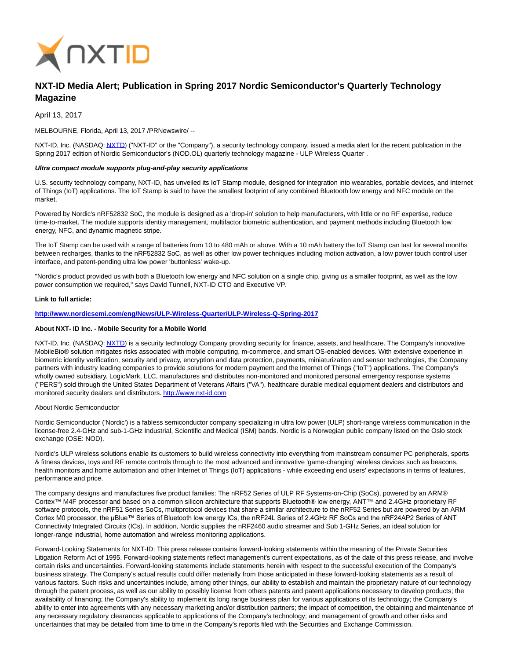

# **NXT-ID Media Alert; Publication in Spring 2017 Nordic Semiconductor's Quarterly Technology Magazine**

April 13, 2017

MELBOURNE, Florida, April 13, 2017 /PRNewswire/ --

NXT-ID, Inc. (NASDAQ[: NXTD\)](https://finance.yahoo.com/q?s=nxtd) ("NXT-ID" or the "Company"), a security technology company, issued a media alert for the recent publication in the Spring 2017 edition of Nordic Semiconductor's (NOD.OL) quarterly technology magazine - ULP Wireless Quarter .

### **Ultra compact module supports plug-and-play security applications**

U.S. security technology company, NXT-ID, has unveiled its IoT Stamp module, designed for integration into wearables, portable devices, and Internet of Things (IoT) applications. The IoT Stamp is said to have the smallest footprint of any combined Bluetooth low energy and NFC module on the market.

Powered by Nordic's nRF52832 SoC, the module is designed as a 'drop-in' solution to help manufacturers, with little or no RF expertise, reduce time-to-market. The module supports identity management, multifactor biometric authentication, and payment methods including Bluetooth low energy, NFC, and dynamic magnetic stripe.

The IoT Stamp can be used with a range of batteries from 10 to 480 mAh or above. With a 10 mAh battery the IoT Stamp can last for several months between recharges, thanks to the nRF52832 SoC, as well as other low power techniques including motion activation, a low power touch control user interface, and patent-pending ultra low power 'buttonless' wake-up.

"Nordic's product provided us with both a Bluetooth low energy and NFC solution on a single chip, giving us a smaller footprint, as well as the low power consumption we required," says David Tunnell, NXT-ID CTO and Executive VP.

### **Link to full article:**

# **<http://www.nordicsemi.com/eng/News/ULP-Wireless-Quarter/ULP-Wireless-Q-Spring-2017>**

# **About NXT- ID Inc. - Mobile Security for a Mobile World**

NXT-ID, Inc. (NASDAQ[: NXTD\)](https://finance.yahoo.com/q?s=nxtd) is a security technology Company providing security for finance, assets, and healthcare. The Company's innovative MobileBio® solution mitigates risks associated with mobile computing, m-commerce, and smart OS-enabled devices. With extensive experience in biometric identity verification, security and privacy, encryption and data protection, payments, miniaturization and sensor technologies, the Company partners with industry leading companies to provide solutions for modern payment and the Internet of Things ("IoT") applications. The Company's wholly owned subsidiary, LogicMark, LLC, manufactures and distributes non-monitored and monitored personal emergency response systems ("PERS") sold through the United States Department of Veterans Affairs ("VA"), healthcare durable medical equipment dealers and distributors and monitored security dealers and distributors[. http://www.nxt-id.com](http://www.nxt-id.com/)

About Nordic Semiconductor

Nordic Semiconductor ('Nordic') is a fabless semiconductor company specializing in ultra low power (ULP) short-range wireless communication in the license-free 2.4-GHz and sub-1-GHz Industrial, Scientific and Medical (ISM) bands. Nordic is a Norwegian public company listed on the Oslo stock exchange (OSE: NOD).

Nordic's ULP wireless solutions enable its customers to build wireless connectivity into everything from mainstream consumer PC peripherals, sports & fitness devices, toys and RF remote controls through to the most advanced and innovative 'game-changing' wireless devices such as beacons, health monitors and home automation and other Internet of Things (IoT) applications - while exceeding end users' expectations in terms of features, performance and price.

The company designs and manufactures five product families: The nRF52 Series of ULP RF Systems-on-Chip (SoCs), powered by an ARM® Cortex™ M4F processor and based on a common silicon architecture that supports Bluetooth® low energy, ANT™ and 2.4GHz proprietary RF software protocols, the nRF51 Series SoCs, multiprotocol devices that share a similar architecture to the nRF52 Series but are powered by an ARM Cortex M0 processor, the μBlue™ Series of Bluetooth low energy ICs, the nRF24L Series of 2.4GHz RF SoCs and the nRF24AP2 Series of ANT Connectivity Integrated Circuits (ICs). In addition, Nordic supplies the nRF2460 audio streamer and Sub 1-GHz Series, an ideal solution for longer-range industrial, home automation and wireless monitoring applications.

Forward-Looking Statements for NXT-ID: This press release contains forward-looking statements within the meaning of the Private Securities Litigation Reform Act of 1995. Forward-looking statements reflect management's current expectations, as of the date of this press release, and involve certain risks and uncertainties. Forward-looking statements include statements herein with respect to the successful execution of the Company's business strategy. The Company's actual results could differ materially from those anticipated in these forward-looking statements as a result of various factors. Such risks and uncertainties include, among other things, our ability to establish and maintain the proprietary nature of our technology through the patent process, as well as our ability to possibly license from others patents and patent applications necessary to develop products; the availability of financing; the Company's ability to implement its long range business plan for various applications of its technology; the Company's ability to enter into agreements with any necessary marketing and/or distribution partners; the impact of competition, the obtaining and maintenance of any necessary regulatory clearances applicable to applications of the Company's technology; and management of growth and other risks and uncertainties that may be detailed from time to time in the Company's reports filed with the Securities and Exchange Commission.